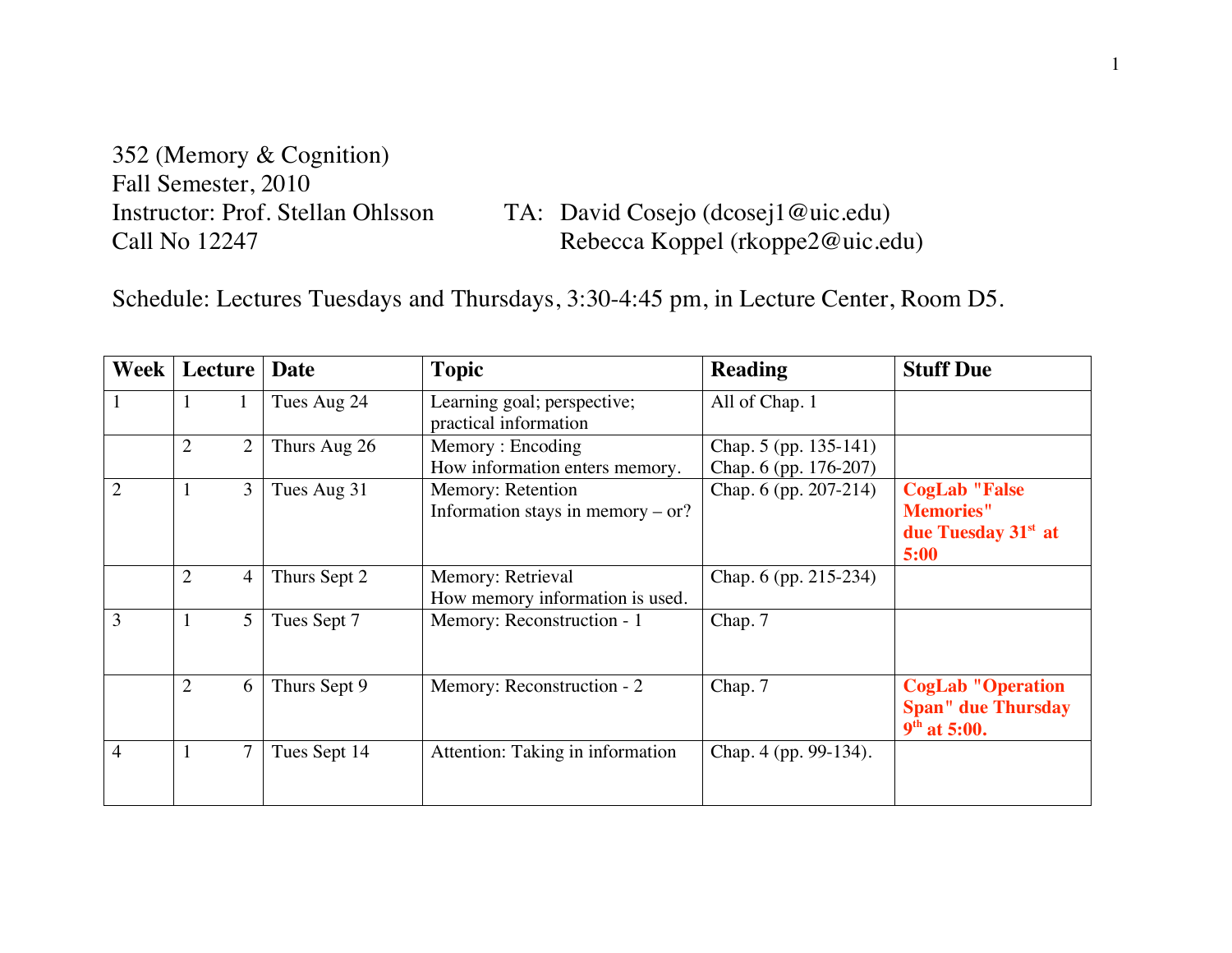352 (Memory & Cognition) Fall Semester, 2010

Instructor: Prof. Stellan Ohlsson TA: David Cosejo (dcosej1@uic.edu)<br>Call No 12247 Rebecca Koppel (rkoppe2@uic.edu) Rebecca Koppel (rkoppe2@uic.edu)

Schedule: Lectures Tuesdays and Thursdays, 3:30-4:45 pm, in Lecture Center, Room D5.

| Week           | Lecture                          | Date         | <b>Topic</b>                                             | <b>Reading</b>                                 | <b>Stuff Due</b>                                                                    |
|----------------|----------------------------------|--------------|----------------------------------------------------------|------------------------------------------------|-------------------------------------------------------------------------------------|
| $\mathbf{1}$   | $\mathbf{I}$                     | Tues Aug 24  | Learning goal; perspective;<br>practical information     | All of Chap. 1                                 |                                                                                     |
|                | $\overline{2}$<br>$\overline{2}$ | Thurs Aug 26 | Memory: Encoding<br>How information enters memory.       | Chap. 5 (pp. 135-141)<br>Chap. 6 (pp. 176-207) |                                                                                     |
| 2              | 3<br>1                           | Tues Aug 31  | Memory: Retention<br>Information stays in memory $-$ or? | Chap. 6 (pp. 207-214)                          | <b>CogLab "False</b><br><b>Memories"</b><br>due Tuesday 31 <sup>st</sup> at<br>5:00 |
|                | $\overline{2}$<br>4              | Thurs Sept 2 | Memory: Retrieval<br>How memory information is used.     | Chap. 6 (pp. 215-234)                          |                                                                                     |
| 3              | 5<br>1                           | Tues Sept 7  | Memory: Reconstruction - 1                               | Chap. 7                                        |                                                                                     |
|                | $\overline{2}$<br>6              | Thurs Sept 9 | Memory: Reconstruction - 2                               | Chap. 7                                        | <b>CogLab "Operation</b><br><b>Span"</b> due Thursday<br>$9th$ at 5:00.             |
| $\overline{4}$ | 1                                | Tues Sept 14 | Attention: Taking in information                         | Chap. 4 (pp. 99-134).                          |                                                                                     |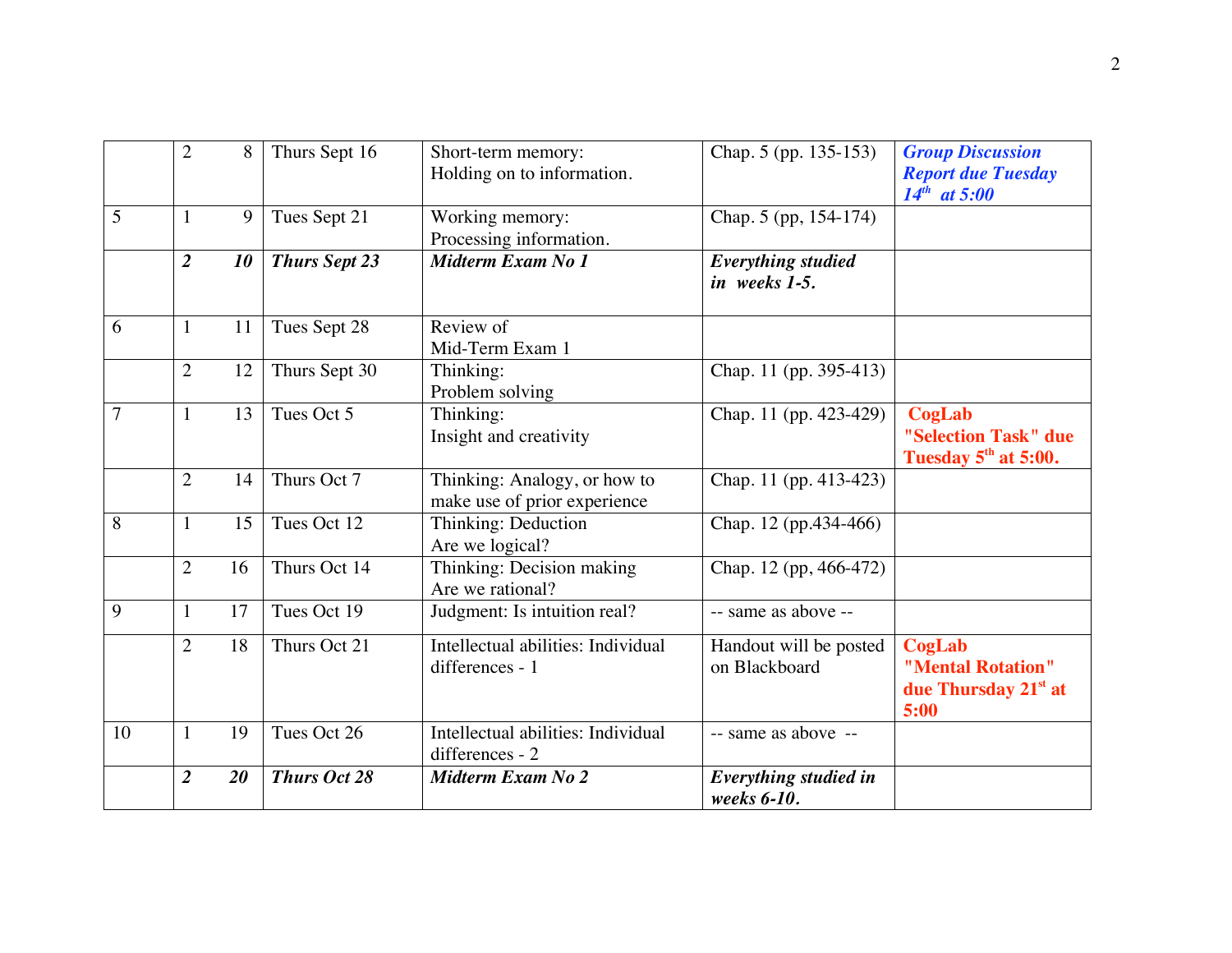|                | $\overline{2}$ | 8  | Thurs Sept 16        | Short-term memory:<br>Holding on to information.             | Chap. 5 (pp. 135-153)                             | <b>Group Discussion</b><br><b>Report due Tuesday</b><br>$14^{th}$ at 5:00 |
|----------------|----------------|----|----------------------|--------------------------------------------------------------|---------------------------------------------------|---------------------------------------------------------------------------|
| 5              | $\mathbf{1}$   | 9  | Tues Sept 21         | Working memory:<br>Processing information.                   | Chap. 5 (pp, 154-174)                             |                                                                           |
|                | $\overline{2}$ | 10 | <b>Thurs Sept 23</b> | Midterm Exam No 1                                            | $\overline{E}$ verything studied<br>in weeks 1-5. |                                                                           |
| 6              | $\mathbf{1}$   | 11 | Tues Sept 28         | Review of<br>Mid-Term Exam 1                                 |                                                   |                                                                           |
|                | $\overline{2}$ | 12 | Thurs Sept 30        | Thinking:<br>Problem solving                                 | Chap. 11 (pp. 395-413)                            |                                                                           |
| $\overline{7}$ | $\mathbf{1}$   | 13 | Tues Oct 5           | Thinking:<br>Insight and creativity                          | Chap. 11 (pp. 423-429)                            | CogLab<br>"Selection Task" due<br>Tuesday 5 <sup>th</sup> at 5:00.        |
|                | $\overline{2}$ | 14 | Thurs Oct 7          | Thinking: Analogy, or how to<br>make use of prior experience | Chap. 11 (pp. 413-423)                            |                                                                           |
| 8              | $\mathbf{1}$   | 15 | Tues Oct 12          | Thinking: Deduction<br>Are we logical?                       | Chap. 12 (pp.434-466)                             |                                                                           |
|                | $\overline{2}$ | 16 | Thurs Oct 14         | Thinking: Decision making<br>Are we rational?                | Chap. 12 (pp, 466-472)                            |                                                                           |
| 9              | $\mathbf{1}$   | 17 | Tues Oct 19          | Judgment: Is intuition real?                                 | -- same as above --                               |                                                                           |
|                | $\overline{2}$ | 18 | Thurs Oct 21         | Intellectual abilities: Individual<br>differences - 1        | Handout will be posted<br>on Blackboard           | CogLab<br>"Mental Rotation"<br>due Thursday 21st at<br>5:00               |
| 10             | $\mathbf{1}$   | 19 | Tues Oct 26          | Intellectual abilities: Individual<br>differences - 2        | -- same as above --                               |                                                                           |
|                | $\overline{2}$ | 20 | <b>Thurs Oct 28</b>  | Midterm Exam No 2                                            | Everything studied in<br>weeks 6-10.              |                                                                           |